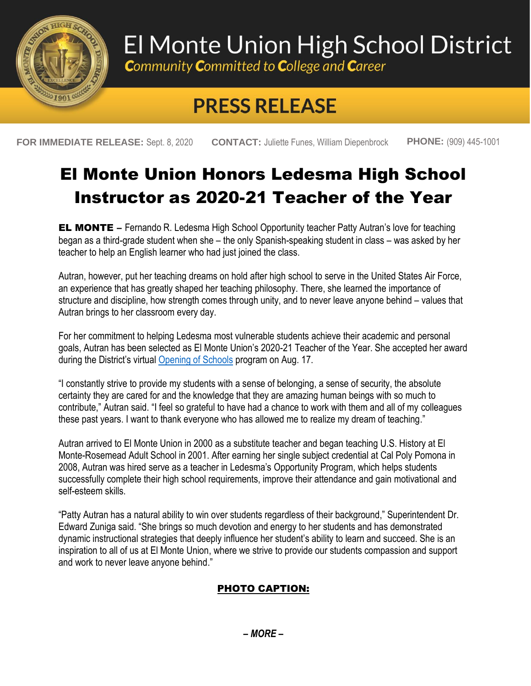

# El Monte Union High School District

**Community Committed to College and Career** 

## **PRESS RELEASE**

**FOR IMMEDIATE RELEASE:** Sept. 8, 2020 **CONTACT:** Juliette Funes, William Diepenbrock **PHONE:** (909) 445-1001

### El Monte Union Honors Ledesma High School Instructor as 2020-21 Teacher of the Year

**EL MONTE** – Fernando R. Ledesma High School Opportunity teacher Patty Autran's love for teaching began as a third-grade student when she – the only Spanish-speaking student in class – was asked by her teacher to help an English learner who had just joined the class.

Autran, however, put her teaching dreams on hold after high school to serve in the United States Air Force, an experience that has greatly shaped her teaching philosophy. There, she learned the importance of structure and discipline, how strength comes through unity, and to never leave anyone behind – values that Autran brings to her classroom every day.

For her commitment to helping Ledesma most vulnerable students achieve their academic and personal goals, Autran has been selected as El Monte Union's 2020-21 Teacher of the Year. She accepted her award during the District's virtual [Opening of Schools](https://www.youtube.com/watch?v=D83QgEtQlKc&feature=youtu.be&t=2762) program on Aug. 17.

"I constantly strive to provide my students with a sense of belonging, a sense of security, the absolute certainty they are cared for and the knowledge that they are amazing human beings with so much to contribute," Autran said. "I feel so grateful to have had a chance to work with them and all of my colleagues these past years. I want to thank everyone who has allowed me to realize my dream of teaching."

Autran arrived to El Monte Union in 2000 as a substitute teacher and began teaching U.S. History at El Monte-Rosemead Adult School in 2001. After earning her single subject credential at Cal Poly Pomona in 2008, Autran was hired serve as a teacher in Ledesma's Opportunity Program, which helps students successfully complete their high school requirements, improve their attendance and gain motivational and self-esteem skills.

"Patty Autran has a natural ability to win over students regardless of their background," Superintendent Dr. Edward Zuniga said. "She brings so much devotion and energy to her students and has demonstrated dynamic instructional strategies that deeply influence her student's ability to learn and succeed. She is an inspiration to all of us at El Monte Union, where we strive to provide our students compassion and support and work to never leave anyone behind."

### PHOTO CAPTION: